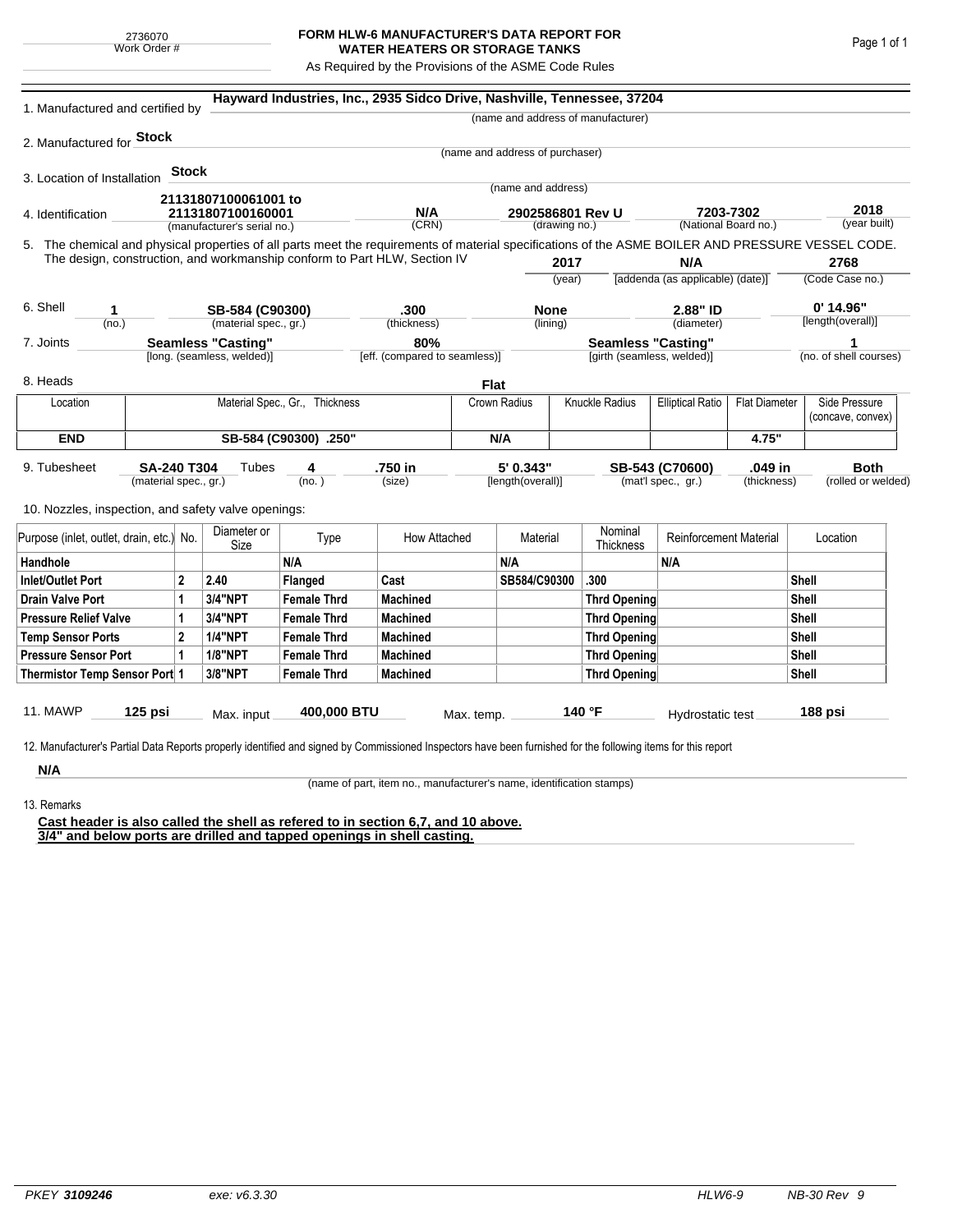## **FORM HLW-6 MANUFACTURER'S DATA REPORT FOR WATER HEATERS OR STORAGE TANKS**

As Required by the Provisions of the ASME Code Rules

| 1. Manufactured and certified by                                                                                                                                                                                                |                                |       |                             |                    | Hayward Industries, Inc., 2935 Sidco Drive, Nashville, Tennessee, 37204 |                                |                                   |              |                                                                 |                                   |                 |                                    |                                   |  |
|---------------------------------------------------------------------------------------------------------------------------------------------------------------------------------------------------------------------------------|--------------------------------|-------|-----------------------------|--------------------|-------------------------------------------------------------------------|--------------------------------|-----------------------------------|--------------|-----------------------------------------------------------------|-----------------------------------|-----------------|------------------------------------|-----------------------------------|--|
|                                                                                                                                                                                                                                 |                                |       |                             |                    |                                                                         |                                |                                   |              | (name and address of manufacturer)                              |                                   |                 |                                    |                                   |  |
| 2. Manufactured for <b>Stock</b>                                                                                                                                                                                                |                                |       |                             |                    |                                                                         |                                |                                   |              |                                                                 |                                   |                 |                                    |                                   |  |
|                                                                                                                                                                                                                                 |                                |       |                             |                    |                                                                         |                                | (name and address of purchaser)   |              |                                                                 |                                   |                 |                                    |                                   |  |
| 3. Location of Installation                                                                                                                                                                                                     |                                | Stock |                             |                    |                                                                         |                                |                                   |              |                                                                 |                                   |                 |                                    |                                   |  |
|                                                                                                                                                                                                                                 |                                |       | 21131807100061001 to        |                    |                                                                         |                                | (name and address)                |              |                                                                 |                                   |                 |                                    |                                   |  |
| 4. Identification                                                                                                                                                                                                               |                                |       | 21131807100160001           |                    | N/A                                                                     |                                | 2902586801 Rev U<br>(drawing no.) |              |                                                                 | 7203-7302<br>(National Board no.) |                 | 2018<br>(year built)               |                                   |  |
|                                                                                                                                                                                                                                 |                                |       | (manufacturer's serial no.) |                    | (CRN)                                                                   |                                |                                   |              |                                                                 |                                   |                 |                                    |                                   |  |
| 5. The chemical and physical properties of all parts meet the requirements of material specifications of the ASME BOILER AND PRESSURE VESSEL CODE.<br>The design, construction, and workmanship conform to Part HLW, Section IV |                                |       |                             |                    |                                                                         |                                |                                   |              |                                                                 | N/A                               |                 |                                    | 2768                              |  |
|                                                                                                                                                                                                                                 |                                |       |                             |                    |                                                                         |                                | 2017<br>(year)                    |              | [addenda (as applicable) (date)]                                |                                   | (Code Case no.) |                                    |                                   |  |
|                                                                                                                                                                                                                                 |                                |       |                             |                    |                                                                         |                                |                                   |              |                                                                 |                                   |                 |                                    |                                   |  |
| 6. Shell<br>1                                                                                                                                                                                                                   |                                |       | SB-584 (C90300)             |                    | .300                                                                    |                                | <b>None</b>                       |              |                                                                 | 2.88" ID                          |                 | $0'$ 14.96"                        |                                   |  |
| (no.)                                                                                                                                                                                                                           |                                |       | (material spec., gr.)       |                    | (thickness)                                                             |                                |                                   | (lining)     |                                                                 | (diameter)                        |                 |                                    | [length(overall)]                 |  |
| 7. Joints                                                                                                                                                                                                                       |                                |       | <b>Seamless "Casting"</b>   |                    | 80%                                                                     |                                |                                   |              | <b>Seamless "Casting"</b>                                       |                                   |                 |                                    |                                   |  |
|                                                                                                                                                                                                                                 |                                |       | [long. (seamless, welded)]  |                    | [eff. (compared to seamless)]                                           |                                |                                   |              | [girth (seamless, welded)]                                      |                                   |                 |                                    | (no. of shell courses)            |  |
| 8. Heads                                                                                                                                                                                                                        |                                |       |                             |                    |                                                                         |                                | <b>Flat</b>                       |              |                                                                 |                                   |                 |                                    |                                   |  |
| Location                                                                                                                                                                                                                        | Material Spec., Gr., Thickness |       |                             |                    |                                                                         |                                | Knuckle Radius<br>Crown Radius    |              | <b>Elliptical Ratio</b>                                         | <b>Flat Diameter</b>              |                 | Side Pressure<br>(concave, convex) |                                   |  |
| <b>END</b>                                                                                                                                                                                                                      | SB-584 (C90300) .250"          |       |                             |                    |                                                                         |                                | N/A                               |              |                                                                 |                                   | 4.75"           |                                    |                                   |  |
| 9. Tubesheet<br>SA-240 T304<br>Tubes<br>(material spec., gr.)<br>10. Nozzles, inspection, and safety valve openings:                                                                                                            |                                |       |                             | 4<br>(no. )        | .750 in<br>(size)                                                       | 5' 0.343"<br>[length(overall)] |                                   |              | .049 in<br>SB-543 (C70600)<br>(mat'l spec., gr.)<br>(thickness) |                                   |                 |                                    | <b>Both</b><br>(rolled or welded) |  |
|                                                                                                                                                                                                                                 |                                |       |                             |                    |                                                                         |                                |                                   |              |                                                                 |                                   |                 |                                    |                                   |  |
| Purpose (inlet, outlet, drain, etc.) No.                                                                                                                                                                                        |                                |       | Diameter or<br>Size         | Type               | How Attached                                                            |                                | Material                          |              | Nominal<br>Thickness                                            | <b>Reinforcement Material</b>     |                 | Location                           |                                   |  |
| Handhole                                                                                                                                                                                                                        |                                |       |                             | N/A                |                                                                         |                                | N/A                               |              |                                                                 | N/A                               |                 |                                    |                                   |  |
| 2<br>Inlet/Outlet Port                                                                                                                                                                                                          |                                |       | 2.40                        | Flanged            | Cast                                                                    |                                | SB584/C90300                      |              | .300                                                            |                                   |                 | Shell                              |                                   |  |
| <b>Drain Valve Port</b><br>1                                                                                                                                                                                                    |                                |       | 3/4"NPT                     | <b>Female Thrd</b> | <b>Machined</b>                                                         |                                |                                   |              | <b>Thrd Opening</b>                                             |                                   | Shell           |                                    |                                   |  |
| <b>Pressure Relief Valve</b><br>1                                                                                                                                                                                               |                                |       | 3/4"NPT                     | <b>Female Thrd</b> | <b>Machined</b>                                                         |                                |                                   |              | Thrd Opening                                                    |                                   |                 | Shell                              |                                   |  |
| $\overline{2}$<br><b>Temp Sensor Ports</b>                                                                                                                                                                                      |                                |       | <b>1/4"NPT</b>              | <b>Female Thrd</b> | <b>Machined</b>                                                         |                                |                                   | Thrd Opening |                                                                 |                                   |                 | Shell                              |                                   |  |
| <b>Pressure Sensor Port</b><br>1                                                                                                                                                                                                |                                |       | <b>1/8"NPT</b>              | <b>Female Thrd</b> | <b>Machined</b>                                                         |                                |                                   | Thrd Opening |                                                                 |                                   |                 |                                    | Shell                             |  |
| Thermistor Temp Sensor Port 1                                                                                                                                                                                                   |                                |       | 3/8"NPT                     | <b>Female Thrd</b> | <b>Machined</b>                                                         |                                |                                   | Thrd Opening |                                                                 |                                   | Shell           |                                    |                                   |  |
| 11. MAWP<br>125 psi                                                                                                                                                                                                             |                                |       | Max. input                  | 400,000 BTU        |                                                                         | Max. temp.                     |                                   |              | 140 °F                                                          | Hydrostatic test                  |                 |                                    | 188 psi                           |  |
| 12. Manufacturer's Partial Data Reports properly identified and signed by Commissioned Inspectors have been furnished for the following items for this report<br>N/A                                                            |                                |       |                             |                    |                                                                         |                                |                                   |              |                                                                 |                                   |                 |                                    |                                   |  |

13. Remarks

(name of part, item no., manufacturer's name, identification stamps)

**Cast header is also called the shell as refered to in section 6,7, and 10 above. 3/4" and below ports are drilled and tapped openings in shell casting.**